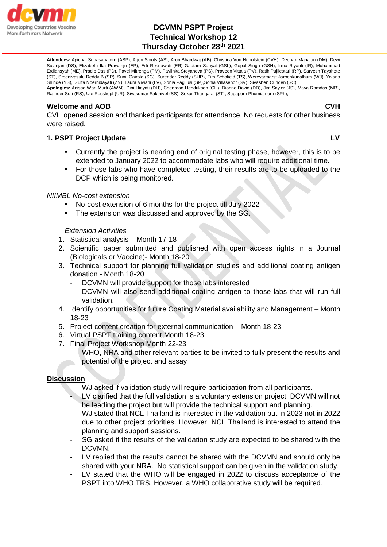

**Attendees:** Apichai Supasanatorn (ASP), Arjen Sloots (AS), Arun Bhardwaj (AB), Christina Von Hunolstein (CVH), Deepak Mahajan (DM), Dewi Sulanjari (DS), Elizabeth Ika Prawahju (EP), Erti Resnawati (ER) Gautam Sanyal (GSL), Gopal Singh (GSH), Irma Riyanti (IR), Muhammad Erdiansyah (ME), Pradip Das (PD), Pavel Mitrenga (PM), Pavlinka Stoyanova (PS), Praveen Vittala (PV), Ratih Pujilestari (RP), Sarvesh Tayshete (ST), Sreenivasulu Reddy B (SR), Sunil Gairola (SG), Surender Reddy (SUR), Tim Schofield (TS), Wereyarmarst Jaroenkunathum (WJ), Yojana Shinde (YS), Zulfa Noerhidayati (ZN), Laura Viviani (LV), Sonia Pagliusi (SP),Sonia Villaseñor (SV), Sivashen Cunden (SC)

**Apologies:** Anissa Wari Murti (AWM), Dini Hiayati (DH), Coenraad Hendriksen (CH), Dionne David (DD), Jim Saylor (JS), Maya Ramdas (MR), Rajinder Suri (RS), Ute Rosskopf (UR), Sivakumar Sakthivel (SS), Sekar Thangaraj (ST), Supaporn Phumiamorn (SPh),

#### **Welcome and AOB CVH**

CVH opened session and thanked participants for attendance. No requests for other business were raised.

## **1. PSPT Project Update LV**

- Currently the project is nearing end of original testing phase, however, this is to be extended to January 2022 to accommodate labs who will require additional time.
- For those labs who have completed testing, their results are to be uploaded to the DCP which is being monitored.

#### *NIIMBL No-cost extension*

- No-cost extension of 6 months for the project till July 2022
- The extension was discussed and approved by the SG.

#### *Extension Activities*

- 1. Statistical analysis Month 17-18
- 2. Scientific paper submitted and published with open access rights in a Journal (Biologicals or Vaccine)- Month 18-20
- 3. Technical support for planning full validation studies and additional coating antigen donation - Month 18-20
	- DCVMN will provide support for those labs interested
	- DCVMN will also send additional coating antigen to those labs that will run full validation.
- 4. Identify opportunities for future Coating Material availability and Management Month 18-23
- 5. Project content creation for external communication Month 18-23
- 6. Virtual PSPT training content Month 18-23
- 7. Final Project Workshop Month 22-23
	- WHO, NRA and other relevant parties to be invited to fully present the results and potential of the project and assay

#### **Discussion**

- WJ asked if validation study will require participation from all participants.
- LV clarified that the full validation is a voluntary extension project. DCVMN will not be leading the project but will provide the technical support and planning.
- WJ stated that NCL Thailand is interested in the validation but in 2023 not in 2022 due to other project priorities. However, NCL Thailand is interested to attend the planning and support sessions.
- SG asked if the results of the validation study are expected to be shared with the DCVMN.
- LV replied that the results cannot be shared with the DCVMN and should only be shared with your NRA. No statistical support can be given in the validation study.
- LV stated that the WHO will be engaged in 2022 to discuss acceptance of the PSPT into WHO TRS. However, a WHO collaborative study will be required.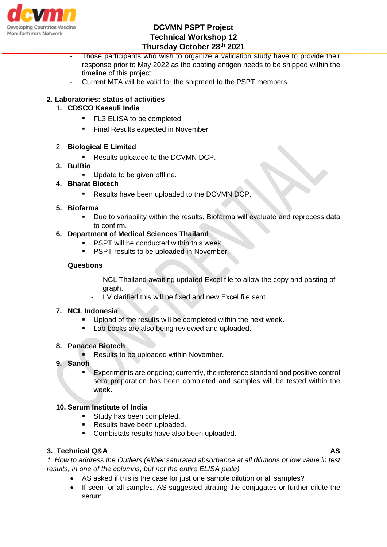

Those participants who wish to organize a validation study have to provide their response prior to May 2022 as the coating antigen needs to be shipped within the timeline of this project.

Current MTA will be valid for the shipment to the PSPT members.

# **2. Laboratories: status of activities**

## **1. CDSCO Kasauli India**

- FL3 ELISA to be completed
- Final Results expected in November

## 2. **Biological E Limited**

▪ Results uploaded to the DCVMN DCP.

#### **3. BulBio**

**Update to be given offline.** 

## **4. Bharat Biotech**

▪ Results have been uploaded to the DCVMN DCP.

#### **5. Biofarma**

 Due to variability within the results, Biofarma will evaluate and reprocess data to confirm.

## **6. Department of Medical Sciences Thailand**

- **PSPT will be conducted within this week.**
- **PSPT results to be uploaded in November.**

## **Questions**

- NCL Thailand awaiting updated Excel file to allow the copy and pasting of graph.
- LV clarified this will be fixed and new Excel file sent.

## **7. NCL Indonesia**

- Upload of the results will be completed within the next week.
- **Lab books are also being reviewed and uploaded.**

#### **8. Panacea Biotech**

- **Results to be uploaded within November.**
- **9. Sanofi**
	- Experiments are ongoing; currently, the reference standard and positive control sera preparation has been completed and samples will be tested within the week.

## **10. Serum Institute of India**

- Study has been completed.
- Results have been uploaded.
- Combistats results have also been uploaded.

## **3. Technical Q&A AS**

*1. How to address the Outliers (either saturated absorbance at all dilutions or low value in test results, in one of the columns, but not the entire ELISA plate)*

- AS asked if this is the case for just one sample dilution or all samples?
- If seen for all samples, AS suggested titrating the conjugates or further dilute the serum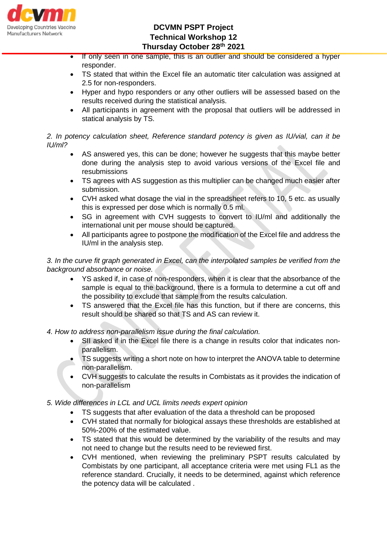

- If only seen in one sample, this is an outlier and should be considered a hyper responder.
- TS stated that within the Excel file an automatic titer calculation was assigned at 2.5 for non-responders.
- Hyper and hypo responders or any other outliers will be assessed based on the results received during the statistical analysis.
- All participants in agreement with the proposal that outliers will be addressed in statical analysis by TS.

## *2. In potency calculation sheet, Reference standard potency is given as IU/vial, can it be IU/ml?*

- AS answered yes, this can be done; however he suggests that this maybe better done during the analysis step to avoid various versions of the Excel file and resubmissions
- TS agrees with AS suggestion as this multiplier can be changed much easier after submission.
- CVH asked what dosage the vial in the spreadsheet refers to 10, 5 etc. as usually this is expressed per dose which is normally 0.5 ml.
- SG in agreement with CVH suggests to convert to IU/ml and additionally the international unit per mouse should be captured.
- All participants agree to postpone the modification of the Excel file and address the IU/ml in the analysis step.

*3. In the curve fit graph generated in Excel, can the interpolated samples be verified from the background absorbance or noise.*

- YS asked if, in case of non-responders, when it is clear that the absorbance of the sample is equal to the background, there is a formula to determine a cut off and the possibility to exclude that sample from the results calculation.
- TS answered that the Excel file has this function, but if there are concerns, this result should be shared so that TS and AS can review it.
- *4. How to address non-parallelism issue during the final calculation.*
	- SII asked if in the Excel file there is a change in results color that indicates nonparallelism.
	- TS suggests writing a short note on how to interpret the ANOVA table to determine non-parallelism.
	- CVH suggests to calculate the results in Combistats as it provides the indication of non-parallelism

## *5. Wide differences in LCL and UCL limits needs expert opinion*

- TS suggests that after evaluation of the data a threshold can be proposed
- CVH stated that normally for biological assays these thresholds are established at 50%-200% of the estimated value.
- TS stated that this would be determined by the variability of the results and may not need to change but the results need to be reviewed first.
- CVH mentioned, when reviewing the preliminary PSPT results calculated by Combistats by one participant, all acceptance criteria were met using FL1 as the reference standard. Crucially, it needs to be determined, against which reference the potency data will be calculated .